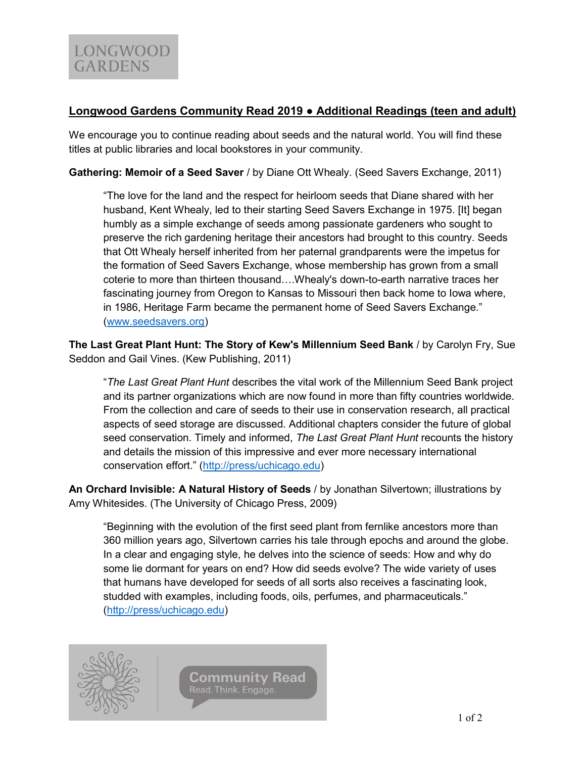## **Longwood Gardens Community Read 2019 ● Additional Readings (teen and adult)**

We encourage you to continue reading about seeds and the natural world. You will find these titles at public libraries and local bookstores in your community.

**Gathering: Memoir of a Seed Saver** / by Diane Ott Whealy. (Seed Savers Exchange, 2011)

"The love for the land and the respect for heirloom seeds that Diane shared with her husband, Kent Whealy, led to their starting Seed Savers Exchange in 1975. [It] began humbly as a simple exchange of seeds among passionate gardeners who sought to preserve the rich gardening heritage their ancestors had brought to this country. Seeds that Ott Whealy herself inherited from her paternal grandparents were the impetus for the formation of Seed Savers Exchange, whose membership has grown from a small coterie to more than thirteen thousand….Whealy's down-to-earth narrative traces her fascinating journey from Oregon to Kansas to Missouri then back home to Iowa where, in 1986, Heritage Farm became the permanent home of Seed Savers Exchange." [\(www.seedsavers.org\)](http://www.seedsavers.org/)

**The Last Great Plant Hunt: The Story of Kew's Millennium Seed Bank** / by Carolyn Fry, Sue Seddon and Gail Vines. (Kew Publishing, 2011)

"*The Last Great Plant Hunt* describes the vital work of the Millennium Seed Bank project and its partner organizations which are now found in more than fifty countries worldwide. From the collection and care of seeds to their use in conservation research, all practical aspects of seed storage are discussed. Additional chapters consider the future of global seed conservation. Timely and informed, *The Last Great Plant Hunt* recounts the history and details the mission of this impressive and ever more necessary international conservation effort." ([http://press/uchicago.edu\)](http://press/uchicago.edu)

**An Orchard Invisible: A Natural History of Seeds** / by Jonathan Silvertown; illustrations by Amy Whitesides. (The University of Chicago Press, 2009)

"Beginning with the evolution of the first seed plant from fernlike ancestors more than 360 million years ago, Silvertown carries his tale through epochs and around the globe. In a clear and engaging style, he delves into the science of seeds: How and why do some lie dormant for years on end? How did seeds evolve? The wide variety of uses that humans have developed for seeds of all sorts also receives a fascinating look, studded with examples, including foods, oils, perfumes, and pharmaceuticals." [\(http://press/uchicago.edu\)](http://press/uchicago.edu)